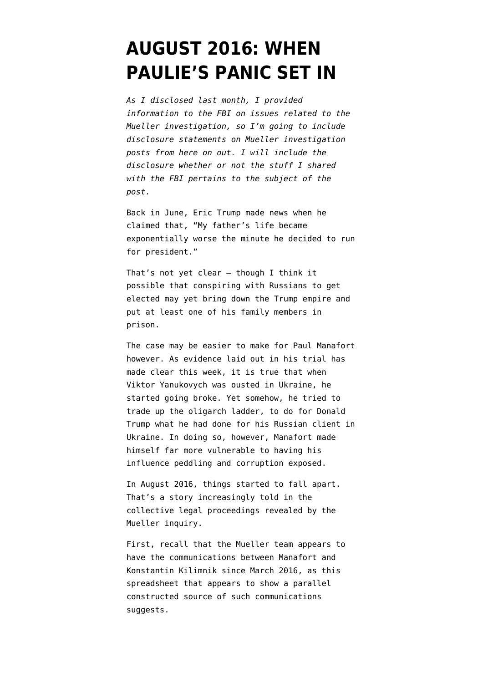# **[AUGUST 2016: WHEN](https://www.emptywheel.net/2018/08/05/august-2016-when-paulies-panic-set-in/) [PAULIE'S PANIC SET IN](https://www.emptywheel.net/2018/08/05/august-2016-when-paulies-panic-set-in/)**

*As I disclosed last month, I [provided](https://www.emptywheel.net/2018/07/03/putting-a-face-mine-to-the-risks-posed-by-gop-games-on-mueller-investigation/) [information](https://www.emptywheel.net/2018/07/03/putting-a-face-mine-to-the-risks-posed-by-gop-games-on-mueller-investigation/) to the FBI on issues related to the Mueller investigation, so I'm going to include disclosure statements on Mueller investigation posts from here on out. I will include the disclosure whether or not the stuff I shared with the FBI pertains to the subject of the post.* 

Back in June, Eric Trump [made news](http://www.westchestermagazine.com/Westchester-Magazine/June-2018/Briarcliff-Eric-Lara-Trump-Family-Live-in-Westchester/) when he claimed that, "My father's life became exponentially worse the minute he decided to run for president."

That's not yet clear — though I think it possible that conspiring with Russians to get elected may yet bring down the Trump empire and put at least one of his family members in prison.

The case may be easier to make for Paul Manafort however. As evidence laid out in his trial has made clear this week, it is true that when Viktor Yanukovych was ousted in Ukraine, he started going broke. Yet somehow, he tried to trade up the oligarch ladder, to do for Donald Trump what he had done for his Russian client in Ukraine. In doing so, however, Manafort made himself far more vulnerable to having his influence peddling and corruption exposed.

In August 2016, things started to fall apart. That's a story increasingly told in the collective legal proceedings revealed by the Mueller inquiry.

First, recall that the Mueller team appears to have the communications between Manafort and Konstantin Kilimnik since March 2016, as this [spreadsheet](https://www.courtlistener.com/recap/gov.uscourts.dcd.190597/gov.uscourts.dcd.190597.315.16_1.pdf) that appears to show a parallel constructed source of such communications suggests.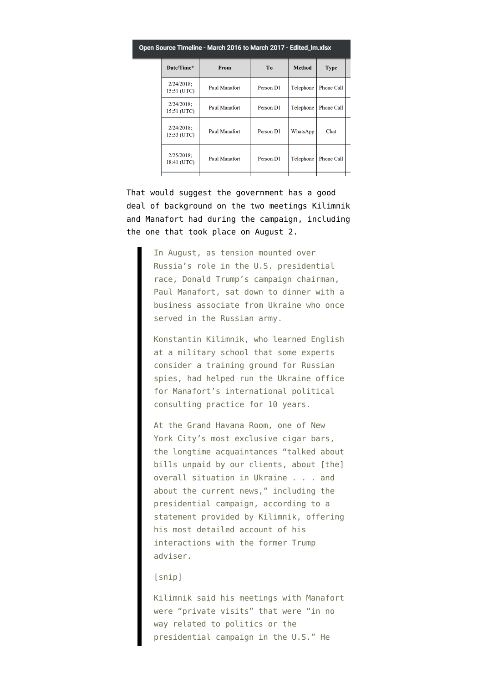| oen Source Timeline - March 2016 to March 2017 - Edited_Im.xlsx |                              |               |           |               |                   |  |  |
|-----------------------------------------------------------------|------------------------------|---------------|-----------|---------------|-------------------|--|--|
|                                                                 | Date/Time*                   | From          | To.       | <b>Method</b> | <b>Type</b>       |  |  |
|                                                                 | $2/24/2018$ ;<br>15:51 (UTC) | Paul Manafort | Person D1 | Telephone     | <b>Phone Call</b> |  |  |
|                                                                 | $2/24/2018$ ;<br>15:51 (UTC) | Paul Manafort | Person D1 | Telephone     | <b>Phone Call</b> |  |  |
|                                                                 | $2/24/2018$ ;<br>15:53 (UTC) | Paul Manafort | Person D1 | WhatsApp      | Chat              |  |  |
|                                                                 | $2/25/2018$ ;<br>18:41 (UTC) | Paul Manafort | Person D1 | Telephone     | Phone Call        |  |  |
|                                                                 |                              |               |           |               |                   |  |  |

That would suggest the government has a good deal of background on the two meetings Kilimnik and Manafort had during the campaign, including the one that [took place](https://www.washingtonpost.com/politics/at-height-of-russia-tensions-trump-campaign-chairman-manafort-met-with-business-associate-from-ukraine/2017/06/18/6ab8485c-4c5d-11e7-a186-60c031eab644_story.html) on August 2.

> In August, as tension mounted over Russia's role in the U.S. presidential race, Donald Trump's campaign chairman, Paul Manafort, sat down to dinner with a business associate from Ukraine who once served in the Russian army.

> Konstantin Kilimnik, who learned English at a military school that some experts consider a training ground for Russian spies, had helped run the Ukraine office for Manafort's international political consulting practice for 10 years.

> At the Grand Havana Room, one of New York City's most exclusive cigar bars, the longtime acquaintances "talked about bills unpaid by our clients, about [the] overall situation in Ukraine . . . and about the current news," including the presidential campaign, according to a statement provided by Kilimnik, offering his most detailed account of his interactions with the former Trump adviser.

### [snip]

Kilimnik said his meetings with Manafort were "private visits" that were "in no way related to politics or the presidential campaign in the U.S." He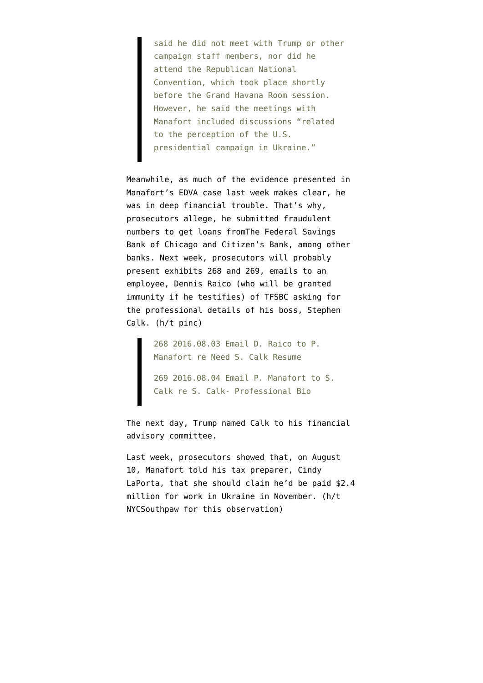said he did not meet with Trump or other campaign staff members, nor did he attend the Republican National Convention, which took place shortly before the Grand Havana Room session. However, he said the meetings with Manafort included discussions "related to the perception of the U.S. presidential campaign in Ukraine."

Meanwhile, as much of the evidence presented in Manafort's EDVA case last week makes clear, he was in deep financial trouble. That's why, prosecutors allege, he submitted fraudulent numbers to get loans fromThe Federal Savings Bank of Chicago and Citizen's Bank, among other banks. Next week, prosecutors will probably present [exhibits 268 and 269](https://www.politico.com/f/?id=00000164-b049-d929-a5e4-b2f9d8e80000), emails to an employee, Dennis Raico (who will be granted immunity if he testifies) of TFSBC asking for the professional details of his boss, Stephen Calk. (h/t [pinc\)](https://www.emptywheel.net/2018/08/05/august-2016-when-paulies-panic-set-in/#comment-745204)

> 268 2016.08.03 Email D. Raico to P. Manafort re Need S. Calk Resume 269 2016.08.04 Email P. Manafort to S. Calk re S. Calk- Professional Bio

The next day, Trump [named](https://chicago.suntimes.com/columnists/who-is-stephen-calk-chicago-banker-key-manafort-case/) Calk to his financial advisory committee.

Last week, prosecutors showed that, on August 10, Manafort [told his tax preparer](https://www.emptywheel.net/wp-content/uploads/2018/08/175-2016.08.11-Email-C.-Laporta-to-P.-Manafort-re-377-Union-St-loan_Redacted.pdf), Cindy LaPorta, that she should claim he'd be paid \$2.4 million for work in Ukraine in November. (h/t [NYCSouthpaw](https://twitter.com/nycsouthpaw/status/1025527459163398145) for this observation)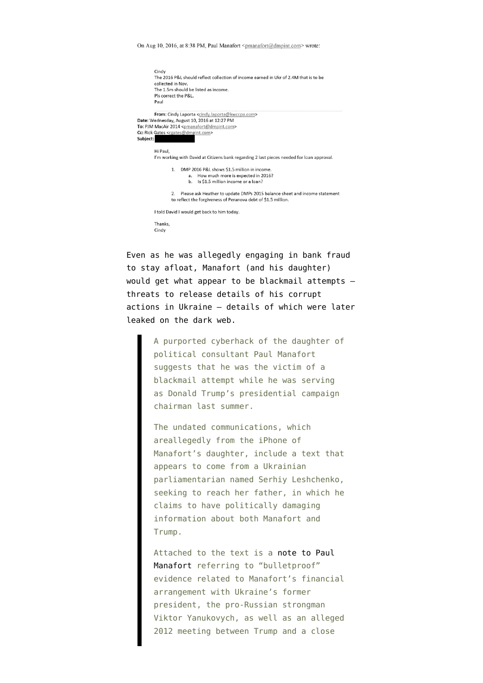On Aug 10, 2016, at 8:38 PM, Paul Manafort <pmanafort@dmpint.com> wrote:

|          | Cindy<br>The 2016 P&L should reflect collection of income earned in Ukr of 2.4M that is to be<br>collected in Nov.<br>The 1.5m should be listed as income.<br>Pls correct the P&L.<br>Paul |  |  |  |  |
|----------|--------------------------------------------------------------------------------------------------------------------------------------------------------------------------------------------|--|--|--|--|
|          | From: Cindy Laporta <cindy.laporta@kwccpa.com></cindy.laporta@kwccpa.com>                                                                                                                  |  |  |  |  |
|          | Date: Wednesday, August 10, 2016 at 12:27 PM                                                                                                                                               |  |  |  |  |
|          | To: PJM MacAir 2014 <pmanafort@dmpint.com></pmanafort@dmpint.com>                                                                                                                          |  |  |  |  |
|          | Cc: Rick Gates <rgates@dmpint.com></rgates@dmpint.com>                                                                                                                                     |  |  |  |  |
| Subject: |                                                                                                                                                                                            |  |  |  |  |
|          |                                                                                                                                                                                            |  |  |  |  |
|          | Hi Paul,                                                                                                                                                                                   |  |  |  |  |
|          | I'm working with David at Citizens bank regarding 2 last pieces needed for loan approval.                                                                                                  |  |  |  |  |
|          | DMP 2016 P&L shows \$1.5 million in income.<br>$\mathbf{1}$<br>How much more is expected in 2016?<br>а.<br>b. Is \$1.5 million income or a loan?                                           |  |  |  |  |
|          | Please ask Heather to update DMPs 2015 balance sheet and income statement<br>2.<br>to reflect the forgiveness of Peranova debt of \$1.5 million.                                           |  |  |  |  |
|          | I told David I would get back to him today.                                                                                                                                                |  |  |  |  |
|          | Thanks,<br>Cindy                                                                                                                                                                           |  |  |  |  |

Even as he was allegedly engaging in bank fraud to stay afloat, Manafort (and his daughter) would get [what appear to be blackmail attempts](https://www.politico.com/story/2017/02/paul-manafort-blackmail-russia-trump-235275)  threats to release details of his corrupt actions in Ukraine — details of which were later leaked on the dark web.

> A purported cyberhack of the daughter of political consultant Paul Manafort suggests that he was the victim of a blackmail attempt while he was serving as Donald Trump's presidential campaign chairman last summer.

> The undated communications, which areallegedly from the iPhone of Manafort's daughter, include a text that appears to come from a Ukrainian parliamentarian named Serhiy Leshchenko, seeking to reach her father, in which he claims to have politically damaging information about both Manafort and Trump.

> Attached to the text is a [note to Paul](http://www.politico.com/f/?id=0000015a-66f4-d2c6-a7db-7efd5e020001) [Manafort](http://www.politico.com/f/?id=0000015a-66f4-d2c6-a7db-7efd5e020001) referring to "bulletproof" evidence related to Manafort's financial arrangement with Ukraine's former president, the pro-Russian strongman Viktor Yanukovych, as well as an alleged 2012 meeting between Trump and a close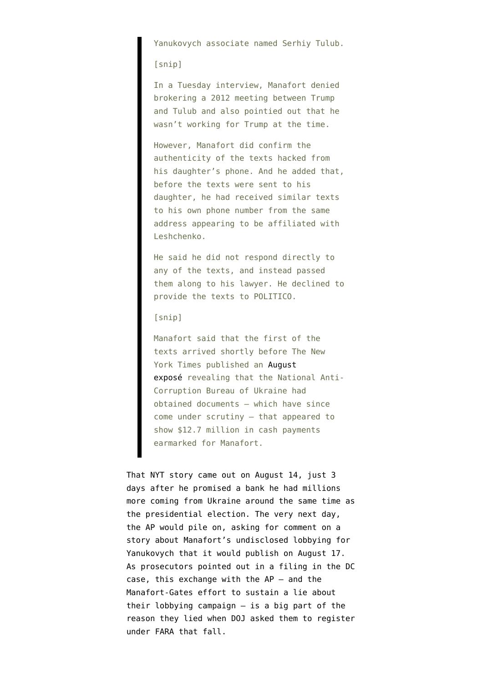Yanukovych associate named Serhiy Tulub.

[snip]

In a Tuesday interview, Manafort denied brokering a 2012 meeting between Trump and Tulub and also pointied out that he wasn't working for Trump at the time.

However, Manafort did confirm the authenticity of the texts hacked from his daughter's phone. And he added that, before the texts were sent to his daughter, he had received similar texts to his own phone number from the same address appearing to be affiliated with Leshchenko.

He said he did not respond directly to any of the texts, and instead passed them along to his lawyer. He declined to provide the texts to POLITICO.

[snip]

Manafort said that the first of the texts arrived shortly before The New York Times published an [August](https://www.nytimes.com/2016/08/15/us/politics/paul-manafort-ukraine-donald-trump.html?_r=1) [exposé](https://www.nytimes.com/2016/08/15/us/politics/paul-manafort-ukraine-donald-trump.html?_r=1) revealing that the National Anti-Corruption Bureau of Ukraine had obtained documents — which have since come under scrutiny — that appeared to show \$12.7 million in cash payments earmarked for Manafort.

That NYT story came out on August 14, just 3 days after he promised a bank he had millions more coming from Ukraine around the same time as the presidential election. The very next day, the AP would pile on, asking for comment on a story about Manafort's undisclosed lobbying for Yanukovych that it would [publish on August 17](https://www.businessinsider.com/ap-paul-manafort-undisclosed-foreign-lobbying-for-pro-russia-political-party-in-ukraine-2016-8). As prosecutors pointed out in a [filing](https://assets.documentcloud.org/documents/4616568/Response-to-motion.pdf) in the DC case, this exchange with the AP — and the Manafort-Gates effort to sustain a lie about their lobbying campaign — is a big part of the reason they lied when DOJ asked them to register under FARA that fall.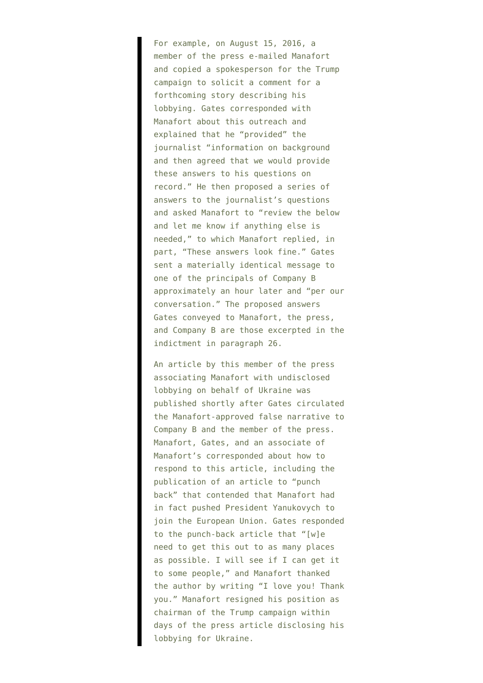For example, on August 15, 2016, a member of the press e-mailed Manafort and copied a spokesperson for the Trump campaign to solicit a comment for a forthcoming story describing his lobbying. Gates corresponded with Manafort about this outreach and explained that he "provided" the journalist "information on background and then agreed that we would provide these answers to his questions on record." He then proposed a series of answers to the journalist's questions and asked Manafort to "review the below and let me know if anything else is needed," to which Manafort replied, in part, "These answers look fine." Gates sent a materially identical message to one of the principals of Company B approximately an hour later and "per our conversation." The proposed answers Gates conveyed to Manafort, the press, and Company B are those excerpted in the indictment in paragraph 26.

An article by this member of the press associating Manafort with undisclosed lobbying on behalf of Ukraine was published shortly after Gates circulated the Manafort-approved false narrative to Company B and the member of the press. Manafort, Gates, and an associate of Manafort's corresponded about how to respond to this article, including the publication of an article to "punch back" that contended that Manafort had in fact pushed President Yanukovych to join the European Union. Gates responded to the punch-back article that "[w]e need to get this out to as many places as possible. I will see if I can get it to some people," and Manafort thanked the author by writing "I love you! Thank you." Manafort resigned his position as chairman of the Trump campaign within days of the press article disclosing his lobbying for Ukraine.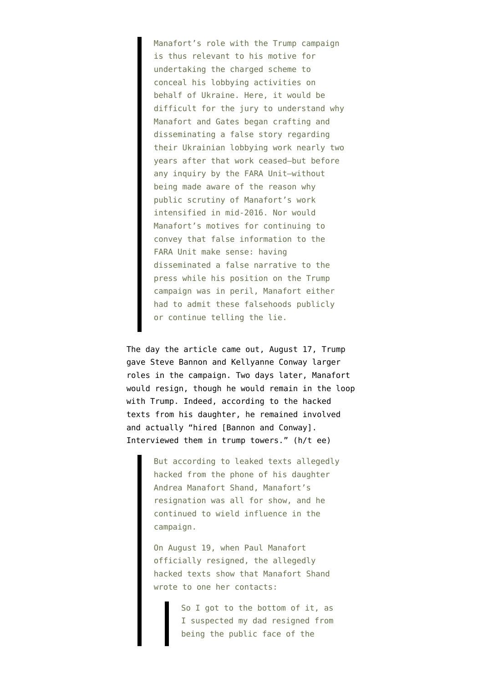Manafort's role with the Trump campaign is thus relevant to his motive for undertaking the charged scheme to conceal his lobbying activities on behalf of Ukraine. Here, it would be difficult for the jury to understand why Manafort and Gates began crafting and disseminating a false story regarding their Ukrainian lobbying work nearly two years after that work ceased—but before any inquiry by the FARA Unit—without being made aware of the reason why public scrutiny of Manafort's work intensified in mid-2016. Nor would Manafort's motives for continuing to convey that false information to the FARA Unit make sense: having disseminated a false narrative to the press while his position on the Trump campaign was in peril, Manafort either had to admit these falsehoods publicly or continue telling the lie.

The day the article came out, August 17, Trump [gave](https://www.cnbc.com/2016/08/17/donald-trump-hands-kellyanne-conway-steve-bannon-new-roles-in-campaign.html) Steve Bannon and Kellyanne Conway larger roles in the campaign. Two days later, Manafort would resign, though he would remain in the loop with Trump. Indeed, according to the [hacked](https://theslot.jezebel.com/hacked-texts-suggest-manafort-continued-to-play-a-role-1793469844) [texts](https://theslot.jezebel.com/hacked-texts-suggest-manafort-continued-to-play-a-role-1793469844) from his daughter, he remained involved and [actually](https://twitter.com/TheViewFromLL2/status/844587922452074496) "hired [Bannon and Conway]. Interviewed them in trump towers." (h/t ee)

> But according to leaked texts allegedly hacked from the phone of his daughter Andrea Manafort Shand, Manafort's resignation was all for show, and he continued to wield influence in the campaign.

On August 19, when Paul Manafort officially resigned, the allegedly hacked texts show that Manafort Shand wrote to one her contacts:

> So I got to the bottom of it, as I suspected my dad resigned from being the public face of the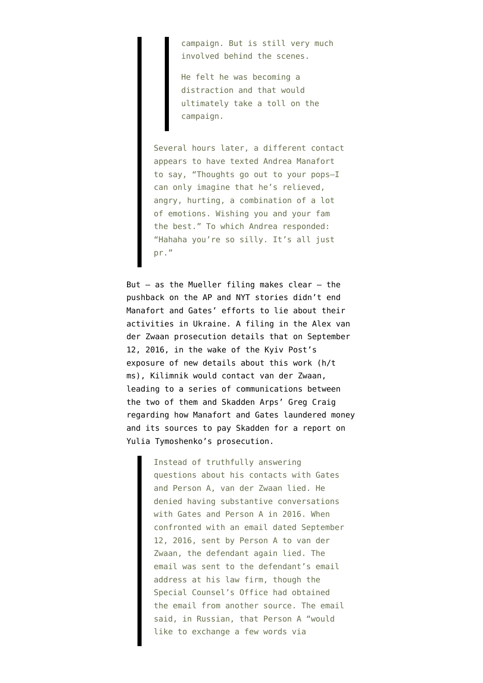campaign. But is still very much involved behind the scenes.

He felt he was becoming a distraction and that would ultimately take a toll on the campaign.

Several hours later, a different contact appears to have texted Andrea Manafort to say, "Thoughts go out to your pops—I can only imagine that he's relieved, angry, hurting, a combination of a lot of emotions. Wishing you and your fam the best." To which Andrea responded: "Hahaha you're so silly. It's all just pr."

But  $-$  as the Mueller filing makes clear  $-$  the pushback on the AP and NYT stories didn't end Manafort and Gates' efforts to lie about their activities in Ukraine. A [filing](https://www.courtlistener.com/recap/gov.uscourts.dcd.193647/gov.uscourts.dcd.193647.19.0.pdf) in the Alex van der Zwaan prosecution details that on September 12, 2016, in the wake of the [Kyiv Post's](https://www.kyivpost.com/article/content/ukraine-politics/memo-manafort-worked-on-report-that-justified-tymoshenko-imprisonment-421671.html) [exposure](https://www.kyivpost.com/article/content/ukraine-politics/memo-manafort-worked-on-report-that-justified-tymoshenko-imprisonment-421671.html) of new details about this work ([h/t](https://twitter.com/Matthew_Shadle/status/1026177301132668928) [ms\)](https://twitter.com/Matthew_Shadle/status/1026177301132668928), Kilimnik would contact van der Zwaan, leading to a series of communications between the two of them and Skadden Arps' Greg Craig regarding how Manafort and Gates laundered money and its sources to pay Skadden for a report on Yulia Tymoshenko's prosecution.

> Instead of truthfully answering questions about his contacts with Gates and Person A, van der Zwaan lied. He denied having substantive conversations with Gates and Person A in 2016. When confronted with an email dated September 12, 2016, sent by Person A to van der Zwaan, the defendant again lied. The email was sent to the defendant's email address at his law firm, though the Special Counsel's Office had obtained the email from another source. The email said, in Russian, that Person A "would like to exchange a few words via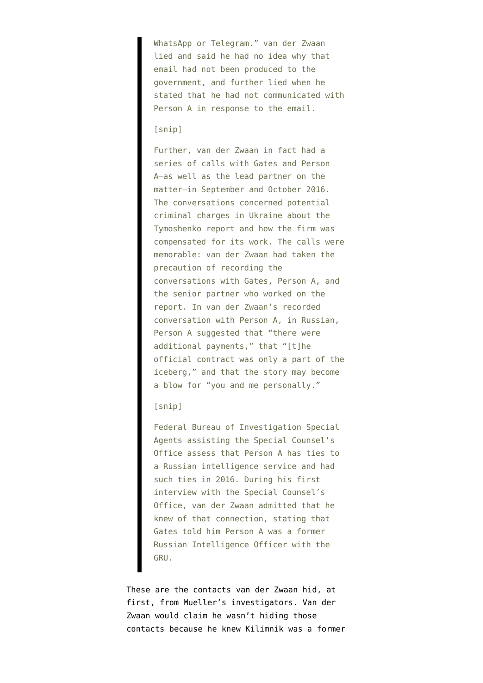WhatsApp or Telegram." van der Zwaan lied and said he had no idea why that email had not been produced to the government, and further lied when he stated that he had not communicated with Person A in response to the email.

#### [snip]

Further, van der Zwaan in fact had a series of calls with Gates and Person A—as well as the lead partner on the matter—in September and October 2016. The conversations concerned potential criminal charges in Ukraine about the Tymoshenko report and how the firm was compensated for its work. The calls were memorable: van der Zwaan had taken the precaution of recording the conversations with Gates, Person A, and the senior partner who worked on the report. In van der Zwaan's recorded conversation with Person A, in Russian, Person A suggested that "there were additional payments," that "[t]he official contract was only a part of the iceberg," and that the story may become a blow for "you and me personally."

## [snip]

Federal Bureau of Investigation Special Agents assisting the Special Counsel's Office assess that Person A has ties to a Russian intelligence service and had such ties in 2016. During his first interview with the Special Counsel's Office, van der Zwaan admitted that he knew of that connection, stating that Gates told him Person A was a former Russian Intelligence Officer with the GRU.

These are the contacts van der Zwaan hid, at first, from Mueller's investigators. Van der Zwaan would [claim](https://www.courtlistener.com/recap/gov.uscourts.dcd.193647/gov.uscourts.dcd.193647.17.0.pdf) he wasn't hiding those contacts because he knew Kilimnik was a former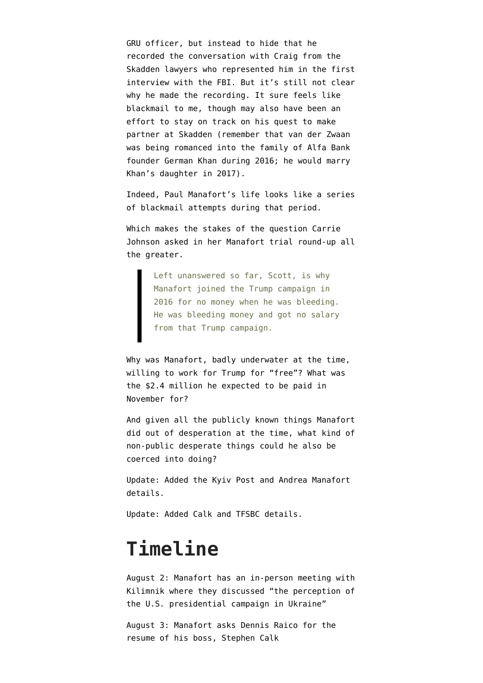GRU officer, but instead to hide that he recorded the conversation with Craig from the Skadden lawyers who represented him in the first interview with the FBI. But it's still not clear why he made the recording. It sure feels like blackmail to me, though may also have been an effort to stay on track on his quest to make partner at Skadden (remember that van der Zwaan was being romanced into the family of Alfa Bank founder German Khan during 2016; he would marry Khan's daughter in 2017).

Indeed, Paul Manafort's life looks like a series of blackmail attempts during that period.

Which makes the stakes of the question [Carrie](https://www.npr.org/2018/08/04/635583157/the-first-week-of-the-manafort-trial?sc=tw) [Johnson asked](https://www.npr.org/2018/08/04/635583157/the-first-week-of-the-manafort-trial?sc=tw) in her Manafort trial round-up all the greater.

> Left unanswered so far, Scott, is why Manafort joined the Trump campaign in 2016 for no money when he was bleeding. He was bleeding money and got no salary from that Trump campaign.

Why was Manafort, badly underwater at the time, willing to work for Trump for "free"? What was the \$2.4 million he expected to be paid in November for?

And given all the publicly known things Manafort did out of desperation at the time, what kind of non-public desperate things could he also be coerced into doing?

Update: Added the Kyiv Post and Andrea Manafort details.

Update: Added Calk and TFSBC details.

## **Timeline**

August 2: Manafort has an in-person meeting with Kilimnik where they discussed "the perception of the U.S. presidential campaign in Ukraine"

August 3: Manafort asks Dennis Raico for the resume of his boss, Stephen Calk